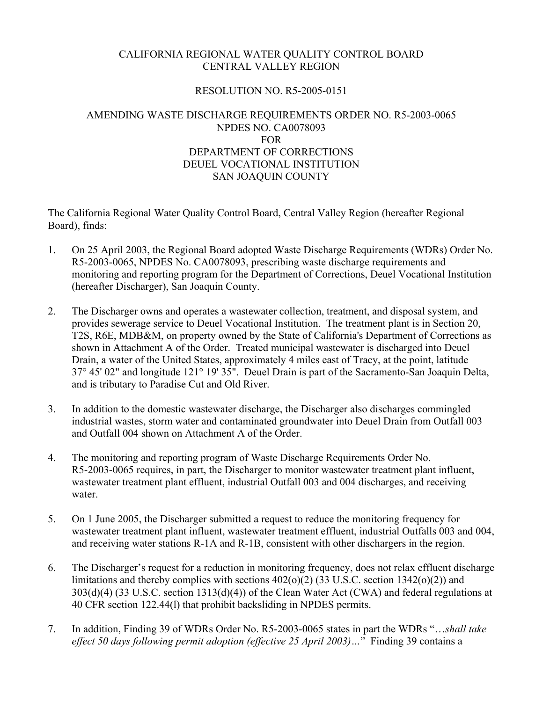## CALIFORNIA REGIONAL WATER QUALITY CONTROL BOARD CENTRAL VALLEY REGION

## RESOLUTION NO. R5-2005-0151

## AMENDING WASTE DISCHARGE REQUIREMENTS ORDER NO. R5-2003-0065 NPDES NO. CA0078093 FOR DEPARTMENT OF CORRECTIONS DEUEL VOCATIONAL INSTITUTION SAN JOAQUIN COUNTY

The California Regional Water Quality Control Board, Central Valley Region (hereafter Regional Board), finds:

- 1. On 25 April 2003, the Regional Board adopted Waste Discharge Requirements (WDRs) Order No. R5-2003-0065, NPDES No. CA0078093, prescribing waste discharge requirements and monitoring and reporting program for the Department of Corrections, Deuel Vocational Institution (hereafter Discharger), San Joaquin County.
- 2. The Discharger owns and operates a wastewater collection, treatment, and disposal system, and provides sewerage service to Deuel Vocational Institution. The treatment plant is in Section 20, T2S, R6E, MDB&M, on property owned by the State of California's Department of Corrections as shown in Attachment A of the Order. Treated municipal wastewater is discharged into Deuel Drain, a water of the United States, approximately 4 miles east of Tracy, at the point, latitude 37° 45' 02" and longitude 121° 19' 35". Deuel Drain is part of the Sacramento-San Joaquin Delta, and is tributary to Paradise Cut and Old River.
- 3. In addition to the domestic wastewater discharge, the Discharger also discharges commingled industrial wastes, storm water and contaminated groundwater into Deuel Drain from Outfall 003 and Outfall 004 shown on Attachment A of the Order.
- 4. The monitoring and reporting program of Waste Discharge Requirements Order No. R5-2003-0065 requires, in part, the Discharger to monitor wastewater treatment plant influent, wastewater treatment plant effluent, industrial Outfall 003 and 004 discharges, and receiving water.
- 5. On 1 June 2005, the Discharger submitted a request to reduce the monitoring frequency for wastewater treatment plant influent, wastewater treatment effluent, industrial Outfalls 003 and 004, and receiving water stations R-1A and R-1B, consistent with other dischargers in the region.
- 6. The Discharger's request for a reduction in monitoring frequency, does not relax effluent discharge limitations and thereby complies with sections  $402(0)(2)$  (33 U.S.C. section 1342(0)(2)) and 303(d)(4) (33 U.S.C. section 1313(d)(4)) of the Clean Water Act (CWA) and federal regulations at 40 CFR section 122.44(l) that prohibit backsliding in NPDES permits.
- 7. In addition, Finding 39 of WDRs Order No. R5-2003-0065 states in part the WDRs "…*shall take effect 50 days following permit adoption (effective 25 April 2003)…*" Finding 39 contains a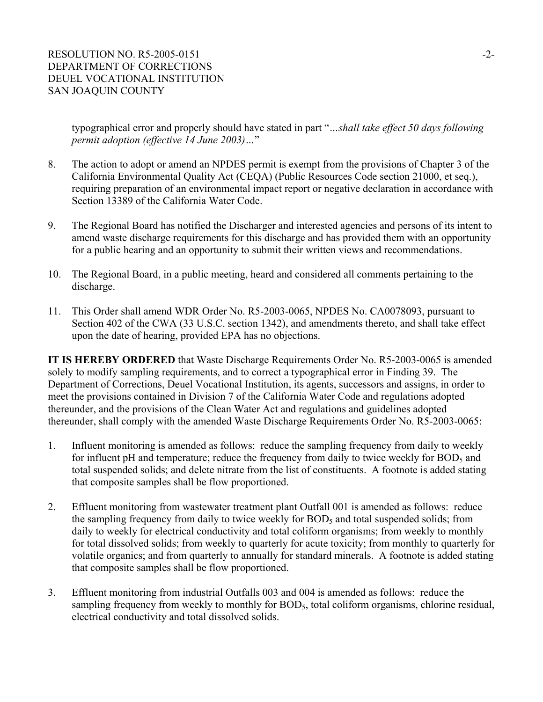typographical error and properly should have stated in part "*…shall take effect 50 days following permit adoption (effective 14 June 2003)…*"

- 8. The action to adopt or amend an NPDES permit is exempt from the provisions of Chapter 3 of the California Environmental Quality Act (CEQA) (Public Resources Code section 21000, et seq.), requiring preparation of an environmental impact report or negative declaration in accordance with Section 13389 of the California Water Code.
- 9. The Regional Board has notified the Discharger and interested agencies and persons of its intent to amend waste discharge requirements for this discharge and has provided them with an opportunity for a public hearing and an opportunity to submit their written views and recommendations.
- 10. The Regional Board, in a public meeting, heard and considered all comments pertaining to the discharge.
- 11. This Order shall amend WDR Order No. R5-2003-0065, NPDES No. CA0078093, pursuant to Section 402 of the CWA (33 U.S.C. section 1342), and amendments thereto, and shall take effect upon the date of hearing, provided EPA has no objections.

**IT IS HEREBY ORDERED** that Waste Discharge Requirements Order No. R5-2003-0065 is amended solely to modify sampling requirements, and to correct a typographical error in Finding 39. The Department of Corrections, Deuel Vocational Institution, its agents, successors and assigns, in order to meet the provisions contained in Division 7 of the California Water Code and regulations adopted thereunder, and the provisions of the Clean Water Act and regulations and guidelines adopted thereunder, shall comply with the amended Waste Discharge Requirements Order No. R5-2003-0065:

- 1. Influent monitoring is amended as follows: reduce the sampling frequency from daily to weekly for influent pH and temperature; reduce the frequency from daily to twice weekly for  $BOD<sub>5</sub>$  and total suspended solids; and delete nitrate from the list of constituents. A footnote is added stating that composite samples shall be flow proportioned.
- 2. Effluent monitoring from wastewater treatment plant Outfall 001 is amended as follows: reduce the sampling frequency from daily to twice weekly for  $BOD<sub>5</sub>$  and total suspended solids; from daily to weekly for electrical conductivity and total coliform organisms; from weekly to monthly for total dissolved solids; from weekly to quarterly for acute toxicity; from monthly to quarterly for volatile organics; and from quarterly to annually for standard minerals. A footnote is added stating that composite samples shall be flow proportioned.
- 3. Effluent monitoring from industrial Outfalls 003 and 004 is amended as follows: reduce the sampling frequency from weekly to monthly for BOD<sub>5</sub>, total coliform organisms, chlorine residual, electrical conductivity and total dissolved solids.